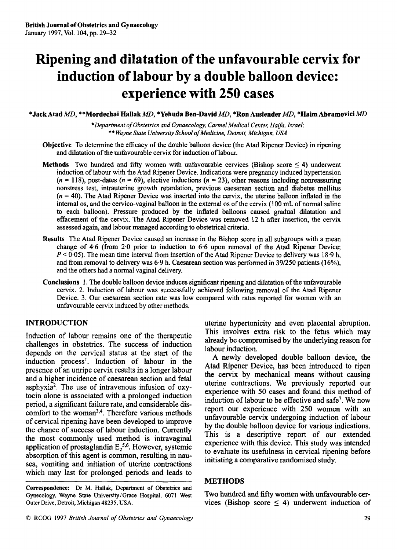# **Ripening and dilatation of the unfavourable cervix for induction of labour by a double balloon device: experience with 250 cases**

**\*Jack Atad** *MD,* **\*\*Mordechai Hallak** *MD,* **\*Yehuda Ben-David** *MD,* **\*Ron Auslender** *MD,* **\*Haim Abramovici** *MD* 

*\*Department of Obstetrics and Gynaecology, Carmel Medical Center, Ha fa, Israel;*  \*\* *Wayne State University School of Medicine, Detroit, Michigan, USA* 

- **Objective** To determine the efficacy of the double balloon device (the Atad Ripener Device) in ripening and dilatation of the unfavourable cervix for induction of labour.
- **Methods** Two hundred and **fifty** women with unfavourable cervices (Bishop score *5* **4)** underwent induction of labour with the Atad Ripener Device. Indications were pregnancy induced hypertension  $(n = 118)$ , post-dates  $(n = 69)$ , elective inductions  $(n = 23)$ , other reasons including nonreassuring nonstress test, intrauterine growth retardation, previous caesarean section and diabetes mellitus  $(n = 40)$ . The Atad Ripener Device was inserted into the cervix, the uterine balloon inflated in the internal **os,** and the cervico-vaginal balloon in the external **0s** of the cervix (100 **mL** of normal saline to each balloon). Pressure produced by the inflated balloons caused gradual dilatation and effacement of the cervix. The Atad Ripener Device was removed 12 h after insertion, the cervix assessed again, and labour managed according to obstetrical criteria.
- **Results** The Atad Ripener Device caused an increase in the Bishop score in all subgroups with a mean change of **4.6** (from 2.0 prior to induction to **6.6** upon removal of the Atad Ripener Device;  $P < 0.05$ ). The mean time interval from insertion of the Atad Ripener Device to delivery was 18.9 h, and from removal to delivery was 6.9 h. Caesarean section was performed in 39/250 patients (16%), and the others had a normal vaginal delivery.
- **Conclusions** 1. The double balloon device induces significant ripening and dilatation of the unfavourable cervix. 2. Induction of labour was successfully achieved following removal of the Atad Ripener Device. 3. Our caesarean section rate was low compared with rates reported for women with an unfavourable cervix induced by other methods.

## **INTRODUCTION**

Induction of labour remains one of the therapeutic challenges in obstetrics. The success of induction depends on the cervical status at the start of the induction process'. Induction of labour in the presence of an unripe cervix results in a longer labour and a higher incidence of caesarean section and fetal asphyxia2. The use of intravenous infusion of oxytocin alone is associated with a prolonged induction period, a significant failure rate, and considerable discomfort to the woman<sup>3,4</sup>. Therefore various methods of cervical ripening have been developed to improve the chance of success of labour induction. Currently the most commonly used method is intravaginal application of prostaglandin  $E_2^{5,6}$ . However, systemic absorption of this agent is common, resulting in nausea, vomiting and initiation of uterine contractions which may last for prolonged periods and leads to uterine hypertonicity and even placental abruption. This involves extra risk to the fetus which may already be compromised by the underlying reason for labour induction.

A newly developed double balloon device, the Atad Ripener Device, has been introduced to ripen the cervix by mechanical means without causing uterine contractions. We previously reported our experience with 50 cases and found this method of induction of labour to be effective and safe'. We now report our experience with 250 women with an unfavourable cervix undergoing induction of labour by the double balloon device for various indications. This is a descriptive report of our extended experience with this device. **This** study was intended to evaluate its usefulness in cervical ripening before initiating a comparative randomised study.

## **METHODS**

Two hundred and **fifty** women with unfavourable cervices (Bishop score  $\leq$  4) underwent induction of

**Correspondence:** Dr M. Hallak, Department of **Obstetrics** and Gynecology, Wayne State University/Grace Hospital, 6071 West Outer Drive, Detroit, Michigan **48235,** USA.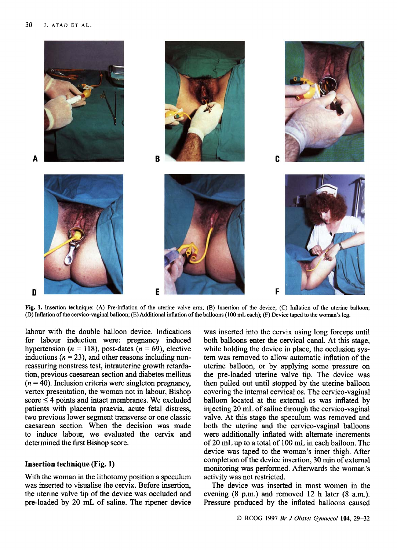

**Fig. 1. Insertion technique: (A) Pre-inflation** of **the uterine valve arm; (B) Insertion** of **the device; (C) Inflation of the uterine balloon; (D) Inflation** of **the cervico-vaginal balloon; (E) Additional inflation of the balloons (100 mL each); (F) Device taped to the woman's leg.** 

labour with the double balloon device. Indications for labour induction were: pregnancy induced hypertension  $(n = 118)$ , post-dates  $(n = 69)$ , elective inductions  $(n = 23)$ , and other reasons including nonreassuring nonstress test, intrauterine growth retardation, previous caesarean section and diabetes mellitus  $(n = 40)$ . Inclusion criteria were singleton pregnancy, vertex presentation, the woman not in labour, Bishop score  $\leq$  4 points and intact membranes. We excluded patients with placenta praevia, acute fetal distress, two previous lower segment transverse or one classic caesarean section. When the decision was made to induce labour, we evaluated the cervix and determined the first Bishop score.

### **Insertion technique (Fig. 1)**

With the woman in the lithotomy position a speculum was inserted to visualise the cervix. Before insertion, the uterine valve tip of the device was occluded and pre-loaded by 20 mL of saline. The ripener device was inserted into the cervix using long forceps until both balloons enter the cervical canal. At this stage, while holding the device in place, the occlusion system was removed to allow automatic inflation of the uterine balloon, or by applying some pressure on the pre-loaded uterine valve tip. The device was then pulled out until stopped by the uterine balloon covering the internal cervical **0s.** The cervico-vaginal balloon located at the external **0s** was inflated by injecting 20 mL of saline through the cervico-vaginal valve. At this stage the speculum was removed and both the uterine and the cervico-vaginal balloons were additionally inflated with alternate increments of 20 mL, up to a total of 100 mL. in each balloon. The device was taped to the woman's inner thigh. After completion of the device insertion, **30** min of external monitoring was performed. Afterwards the woman's activity was not restricted.

The device was inserted in most women in the evening **(8** p.m.) and removed 12 h later **(8** a.m.). Pressure produced by the inflated balloons caused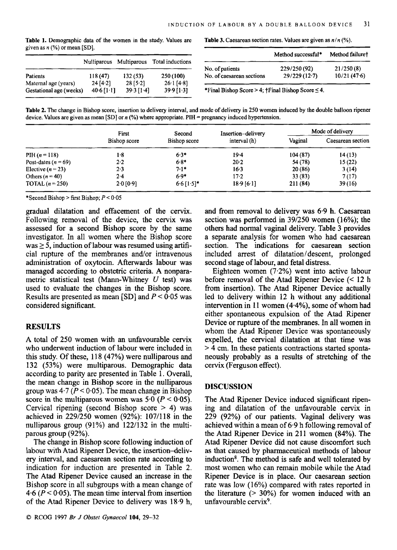| $\sim$ $\sim$           |              |              |                                          |                                                                 | Method successful* | Method failure <sup>®</sup> |
|-------------------------|--------------|--------------|------------------------------------------|-----------------------------------------------------------------|--------------------|-----------------------------|
|                         |              |              | Nulliparous Multiparous Total inductions | No. of patients                                                 | 229/250 (92)       | 21/250(8)                   |
| <b>Patients</b>         | l 18 (47).   | 132 (53)     | 250(100)                                 | No. of caesarean sections                                       | 29/229(12.7)       | 10/21(47.6)                 |
| Maternal age (years)    | 24 [4.2]     | 28 [5.2]     | $26 \cdot 1$ [4 $\cdot 8$ ]              |                                                                 |                    |                             |
| Gestational age (weeks) | $40.6$ [1.1] | $39.3$ [1.4] | $39.9$ [1.3]                             | *Final Bishop Score > 4; $\dagger$ Final Bishop Score $\leq$ 4. |                    |                             |

**Table 1.** Demographic data of the women in the study. Values are given as *n* (%)or mean **[SD].** 

**Table 3.** Caesarean section rates. Values are given as *n/n* (%).

|                           | Method successful* | Method failure† |  |
|---------------------------|--------------------|-----------------|--|
| No. of patients           | 229/250 (92)       | 21/250(8)       |  |
| No. of caesarean sections | 29/229(12.7)       | 10/21(47.6)     |  |

**Table 2.** The change in Bishop score, insertion to delivery interval, and mode of delivery in 250 women induced by the double balloon ripener device. Values are given as mean [SD] or *n* (%) where appropriate. PIH = pregnancy induced hypertension.

|                         | First        | Second       | Insertion-delivery | Mode of delivery |                   |
|-------------------------|--------------|--------------|--------------------|------------------|-------------------|
|                         | Bishop score | Bishop score | interval (h)       | Vaginal          | Caesarean section |
| PIH $(n = 118)$         | $1-8$        | $6.3*$       | 19.4               | 104(87)          | 14(13)            |
| Post-dates ( $n = 69$ ) | 2.2          | $6.8*$       | 20.2               | 54 (78)          | 15(22)            |
| Elective $(n=23)$       | $2 - 3$      | $7.1*$       | $16-3$             | 20(86)           | 3(14)             |
| Others $(n = 40)$       | 2.4          | $6.9*$       | 17.2               | 33(83)           | 7(17)             |
| TOTAL $(n=250)$         | $2.0$ [0.9]  | $6.6$ [1.5]* | 18.9 [6.1]         | 211 (84)         | 39(16)            |

\*Second Bishop > first Bishop; *P* < 0.05

gradual dilatation and effacement of the cervix. Following removal of the device, the cervix was assessed for a second Bishop score by the same investigator. In all women where the Bishop score  $was \geq 5$ , induction of labour was resumed using artificial rupture of the membranes and/or intravenous administration of oxytocin. Afterwards labour was managed according to obstetric criteria. A nonparametric statistical test (Mann-Whitney *U* test) was used to evaluate the changes in the Bishop score. Results are presented as mean [SD] and *P* < **0.05** was considered significant.

## **RESULTS**

A total of 250 women with an unfavourable cervix who underwent induction of labour were included in this study. Of these, 11 **8 (47%)** were nulliparous and 132 (53%) were multiparous. Demographic data according to parity are presented in Table 1. Overall, the mean change in Bishop score in the nulliparous group was  $4.7 (P < 0.05)$ . The mean change in Bishop score in the multiparous women was  $5.0$   $(P < 0.05)$ . Cervical ripening (second Bishop score > **4)** was achieved in 229/250 women (92%): 107/118 in the nulliparous group (91%) and 122/132 in the multiparous group (92%).

The change in Bishop score following induction of labour with Atad Ripener Device, the insertion-delivery interval, and caesarean section rate according to indication for induction are presented in Table 2. The Atad Ripener Device caused an increase in the Bishop score in all subgroups with a mean change of **4.6** *(P* < **0-05).** The mean time interval from insertion of the Atad Ripener Device to delivery was 18.9 h, and from removal to delivery was 6.9 h. Caesarean section was performed in 39/250 women **(16%);** the others had normal vaginal delivery. Table 3 provides a separate analysis for women who had caesarean section. The indications for caesarean section included arrest of dilatation/descent, prolonged second stage of labour, and fetal distress.

Eighteen women (7.2%) went into active labour before removal of the Atad Ripener Device (< 12 h fiom insertion). The Atad Ripener Device actually led to delivery within 12 h without any additional intervention in 11 women **(4.4%),** some of whom had either spontaneous expulsion of the Atad Ripener Device or rupture of the membranes. In all women in whom the Atad Ripener Device was spontaneously expelled, the cervical dilatation at that time was > **4** cm. In these patients contractions started spontaneously probably as a results of stretching of the cervix (Ferguson effect).

## **DISCUSSION**

The Atad Ripener Device induced significant ripening and dilatation of the unfavourable cervix in 229 (92%) of our patients. Vaginal delivery was achieved within a mean of 6.9 h following removal of the Atad Ripener Device in 211 women **(84%).** The Atad Ripener Device did not cause discomfort such as that caused by pharmaceutical methods of labour induction<sup>8</sup>. The method is safe and well tolerated by most women who can remain mobile while the Atad Ripener Device is in place. Our caesarean section rate was low (16%) compared with rates reported in the literature (> **30%)** for women induced with an unfavourable cervix<sup>9</sup>.